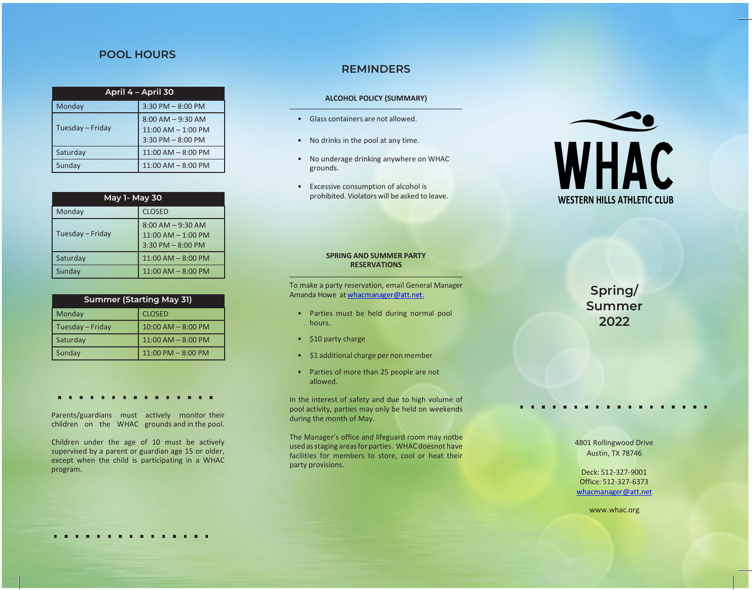## **POOL HOURS**

| April 4 - April 30 |                                                                        |  |
|--------------------|------------------------------------------------------------------------|--|
| Monday             | $3:30$ PM $- 8:00$ PM                                                  |  |
| Tuesday - Friday   | $8:00$ AM $-9:30$ AM<br>$11:00$ AM $- 1:00$ PM<br>$3:30$ PM $-8:00$ PM |  |
| Saturday           | $11:00$ AM $-$ 8:00 PM                                                 |  |
| Sunday             | $11:00$ AM $-$ 8:00 PM                                                 |  |

| May 1- May 30    |                                                                         |  |
|------------------|-------------------------------------------------------------------------|--|
| Monday           | <b>CLOSED</b>                                                           |  |
| Tuesday - Friday | $8:00$ AM $-9:30$ AM<br>$11:00$ AM $- 1:00$ PM<br>$3:30$ PM $- 8:00$ PM |  |
| Saturday         | $11:00$ AM $-$ 8:00 PM                                                  |  |
| Sunday           | $11:00$ AM $-$ 8:00 PM                                                  |  |

| <b>Summer (Starting May 31)</b> |                        |  |
|---------------------------------|------------------------|--|
| Monday                          | <b>CLOSED</b>          |  |
| Tuesday - Friday                | $10:00$ AM $- 8:00$ PM |  |
| Saturday                        | 11:00 AM - 8:00 PM     |  |
| Sunday                          | $11:00$ PM $- 8:00$ PM |  |

Parents/guardians must actively monitor their children on the WHAC grounds and in the pool.

Children under the age of 10 must be actively supervised by a parent or guardian age 15 or older, except when the child is participating in a WHAC program.

# **REMINDERS**

### **ALCOHOL POLICY (SUMMARY)**

- Glass containers are not allowed.
- No drinks in the pool at any time.
- No underage drinking anywhere on WHAC grounds.
- Excessive consumption of alcohol is prohibited. Violatorswill be asked to leave.



#### **SPRING AND SUMMER PARTY RESERVATIONS**

To make a party reservation, email General Manager Amanda Howe at [whacmanager@att.net.](mailto:whacmanager@att.net.)

- Parties must be held during normal pool hours.
- \$10 party charge
- \$1 additional charge per non member
- Parties of more than 25 people are not allowed.

In the interest of safety and due to high volume of pool activity, parties may only be held on weekends during the month of May.

The Manager's office and lifeguard room may notbe usedasstaging areasfor parties. WHAC doesnot have facilities for members to store, cool or heat their party provisions.

**Spring/ Summer 2022**

4801 Rollingwood Drive Austin, TX 78746

Deck: 512-327-9001 Office: 512-327-6373 [whacmanager@att.net](mailto:whacmanager@att.net)

[www.whac.org](http://www.whac.org/)